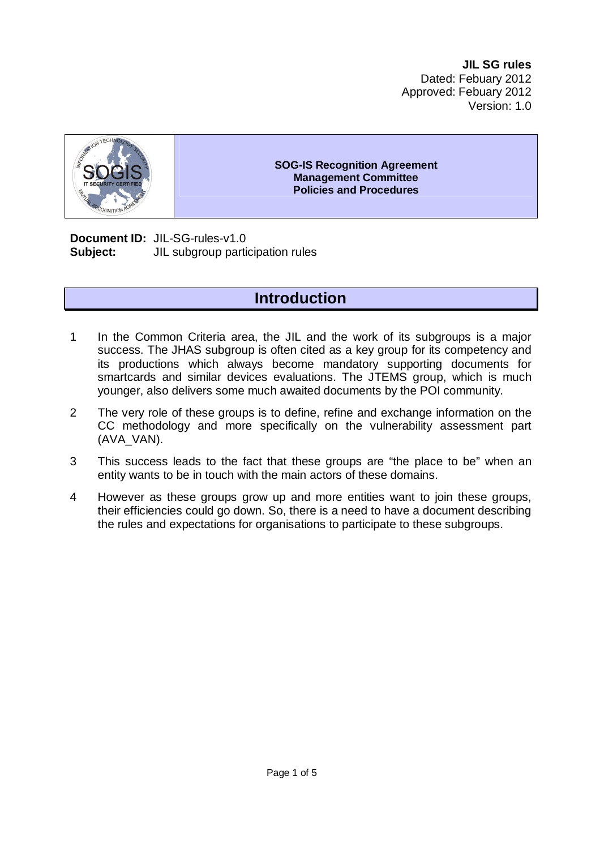

#### **SOG-IS Recognition Agreement Management Committee Policies and Procedures**

**Document ID:** JIL-SG-rules-v1.0 **Subject:** JIL subgroup participation rules

# **Introduction**

- 1 In the Common Criteria area, the JIL and the work of its subgroups is a major success. The JHAS subgroup is often cited as a key group for its competency and its productions which always become mandatory supporting documents for smartcards and similar devices evaluations. The JTEMS group, which is much younger, also delivers some much awaited documents by the POI community.
- 2 The very role of these groups is to define, refine and exchange information on the CC methodology and more specifically on the vulnerability assessment part (AVA\_VAN).
- 3 This success leads to the fact that these groups are "the place to be" when an entity wants to be in touch with the main actors of these domains.
- 4 However as these groups grow up and more entities want to join these groups, their efficiencies could go down. So, there is a need to have a document describing the rules and expectations for organisations to participate to these subgroups.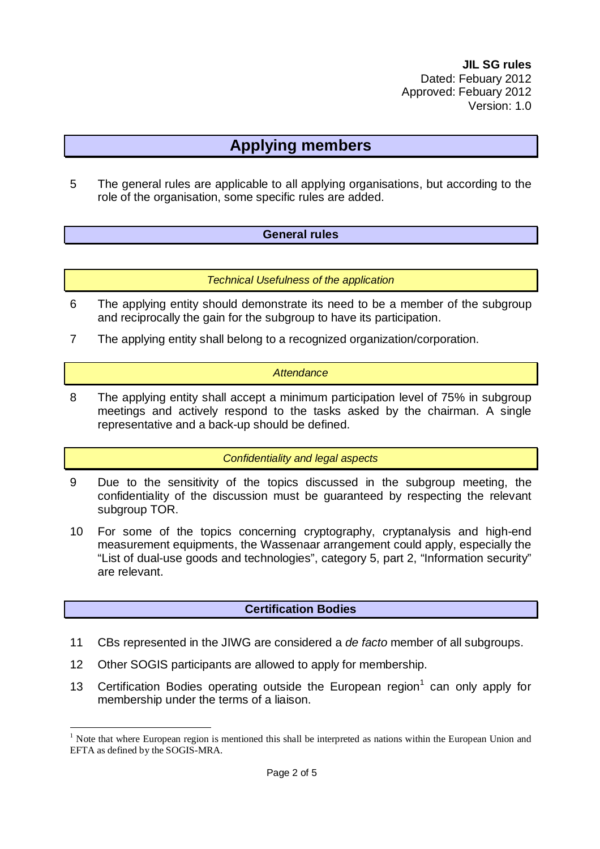## **Applying members**

5 The general rules are applicable to all applying organisations, but according to the role of the organisation, some specific rules are added.

### **General rules**

*Technical Usefulness of the application* 

- 6 The applying entity should demonstrate its need to be a member of the subgroup and reciprocally the gain for the subgroup to have its participation.
- 7 The applying entity shall belong to a recognized organization/corporation.

#### *Attendance*

8 The applying entity shall accept a minimum participation level of 75% in subgroup meetings and actively respond to the tasks asked by the chairman. A single representative and a back-up should be defined.

#### *Confidentiality and legal aspects*

- 9 Due to the sensitivity of the topics discussed in the subgroup meeting, the confidentiality of the discussion must be guaranteed by respecting the relevant subgroup TOR.
- 10 For some of the topics concerning cryptography, cryptanalysis and high-end measurement equipments, the Wassenaar arrangement could apply, especially the "List of dual-use goods and technologies", category 5, part 2, "Information security" are relevant.

### **Certification Bodies**

- 11 CBs represented in the JIWG are considered a *de facto* member of all subgroups.
- 12 Other SOGIS participants are allowed to apply for membership.

 $\overline{a}$ 

13 Certification Bodies operating outside the European region<sup>1</sup> can only apply for membership under the terms of a liaison.

<sup>&</sup>lt;sup>1</sup> Note that where European region is mentioned this shall be interpreted as nations within the European Union and EFTA as defined by the SOGIS-MRA.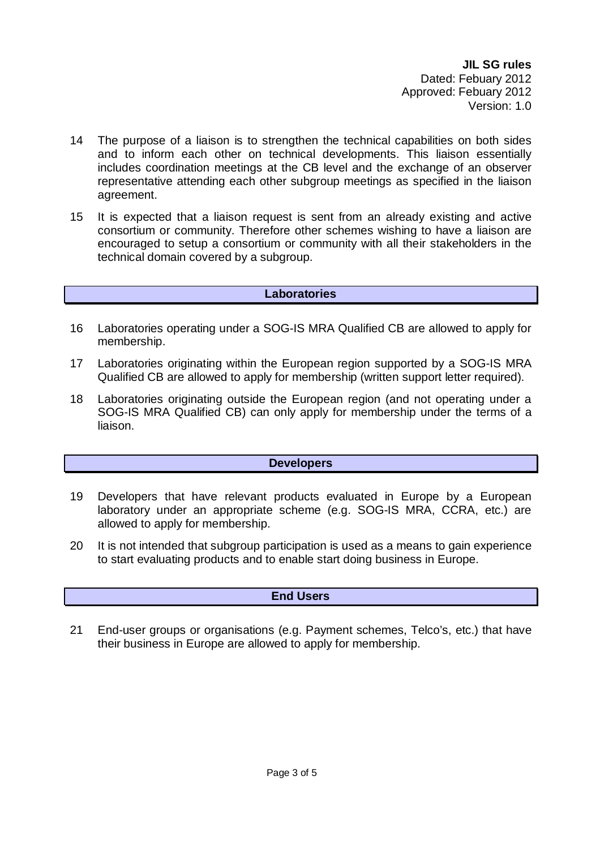- 14 The purpose of a liaison is to strengthen the technical capabilities on both sides and to inform each other on technical developments. This liaison essentially includes coordination meetings at the CB level and the exchange of an observer representative attending each other subgroup meetings as specified in the liaison agreement.
- 15 It is expected that a liaison request is sent from an already existing and active consortium or community. Therefore other schemes wishing to have a liaison are encouraged to setup a consortium or community with all their stakeholders in the technical domain covered by a subgroup.

#### **Laboratories**

- 16 Laboratories operating under a SOG-IS MRA Qualified CB are allowed to apply for membership.
- 17 Laboratories originating within the European region supported by a SOG-IS MRA Qualified CB are allowed to apply for membership (written support letter required).
- 18 Laboratories originating outside the European region (and not operating under a SOG-IS MRA Qualified CB) can only apply for membership under the terms of a liaison.

### **Developers**

- 19 Developers that have relevant products evaluated in Europe by a European laboratory under an appropriate scheme (e.g. SOG-IS MRA, CCRA, etc.) are allowed to apply for membership.
- 20 It is not intended that subgroup participation is used as a means to gain experience to start evaluating products and to enable start doing business in Europe.

### **End Users**

21 End-user groups or organisations (e.g. Payment schemes, Telco's, etc.) that have their business in Europe are allowed to apply for membership.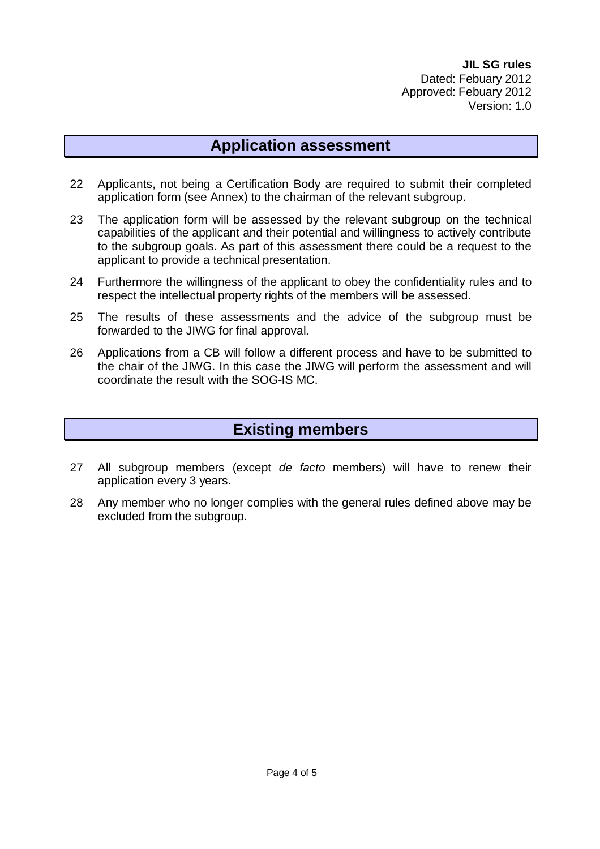### **Application assessment**

- 22 Applicants, not being a Certification Body are required to submit their completed application form (see Annex) to the chairman of the relevant subgroup.
- 23 The application form will be assessed by the relevant subgroup on the technical capabilities of the applicant and their potential and willingness to actively contribute to the subgroup goals. As part of this assessment there could be a request to the applicant to provide a technical presentation.
- 24 Furthermore the willingness of the applicant to obey the confidentiality rules and to respect the intellectual property rights of the members will be assessed.
- 25 The results of these assessments and the advice of the subgroup must be forwarded to the JIWG for final approval.
- 26 Applications from a CB will follow a different process and have to be submitted to the chair of the JIWG. In this case the JIWG will perform the assessment and will coordinate the result with the SOG-IS MC.

### **Existing members**

- 27 All subgroup members (except *de facto* members) will have to renew their application every 3 years.
- 28 Any member who no longer complies with the general rules defined above may be excluded from the subgroup.